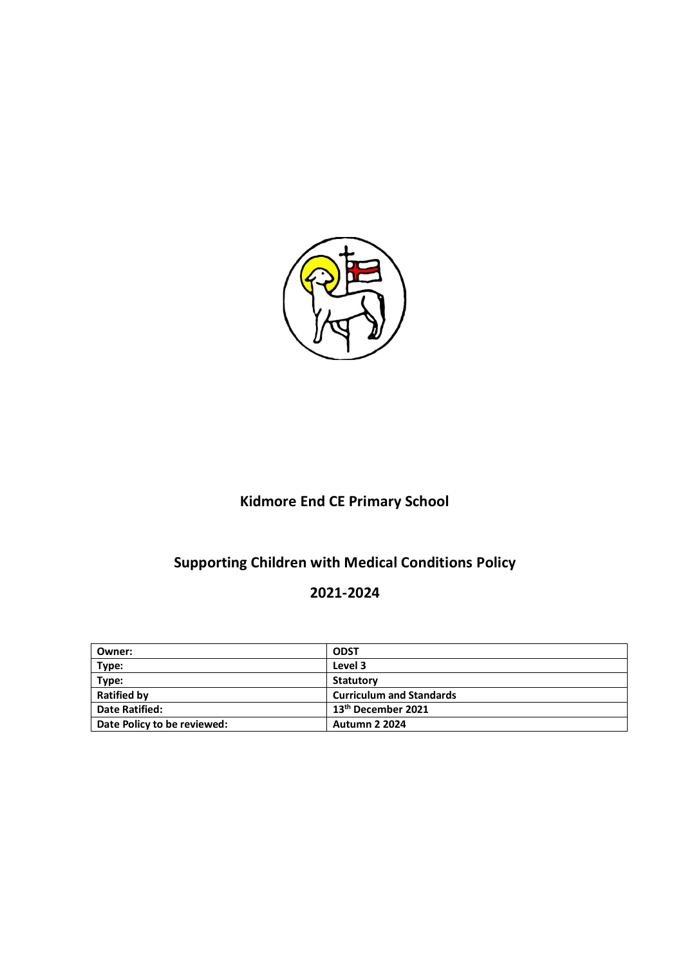

## **Kidmore End CE Primary School**

# **Supporting Children with Medical Conditions Policy**

## **2021-2024**

| Owner:                      | <b>ODST</b>                     |
|-----------------------------|---------------------------------|
| Type:                       | Level 3                         |
| Type:                       | Statutory                       |
| <b>Ratified by</b>          | <b>Curriculum and Standards</b> |
| <b>Date Ratified:</b>       | 13 <sup>th</sup> December 2021  |
| Date Policy to be reviewed: | <b>Autumn 2 2024</b>            |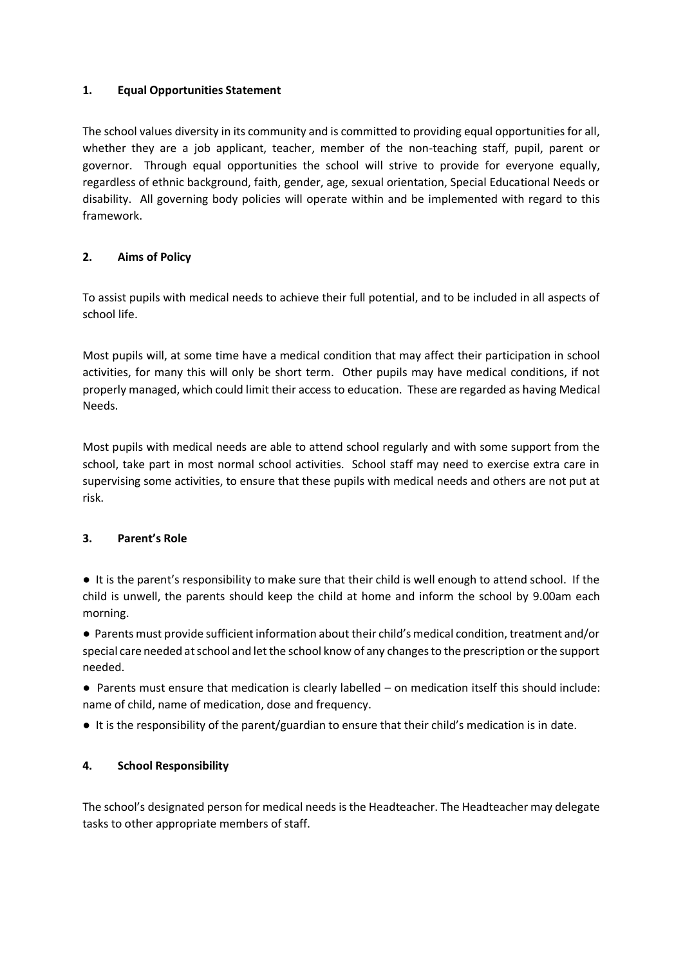## **1. Equal Opportunities Statement**

The school values diversity in its community and is committed to providing equal opportunities for all, whether they are a job applicant, teacher, member of the non-teaching staff, pupil, parent or governor. Through equal opportunities the school will strive to provide for everyone equally, regardless of ethnic background, faith, gender, age, sexual orientation, Special Educational Needs or disability. All governing body policies will operate within and be implemented with regard to this framework.

## **2. Aims of Policy**

To assist pupils with medical needs to achieve their full potential, and to be included in all aspects of school life.

Most pupils will, at some time have a medical condition that may affect their participation in school activities, for many this will only be short term. Other pupils may have medical conditions, if not properly managed, which could limit their access to education. These are regarded as having Medical Needs.

Most pupils with medical needs are able to attend school regularly and with some support from the school, take part in most normal school activities. School staff may need to exercise extra care in supervising some activities, to ensure that these pupils with medical needs and others are not put at risk.

## **3. Parent's Role**

● It is the parent's responsibility to make sure that their child is well enough to attend school. If the child is unwell, the parents should keep the child at home and inform the school by 9.00am each morning.

● Parents must provide sufficient information about their child's medical condition, treatment and/or special care needed at school and let the school know of any changes to the prescription or the support needed.

● Parents must ensure that medication is clearly labelled – on medication itself this should include: name of child, name of medication, dose and frequency.

● It is the responsibility of the parent/guardian to ensure that their child's medication is in date.

## **4. School Responsibility**

The school's designated person for medical needs is the Headteacher. The Headteacher may delegate tasks to other appropriate members of staff.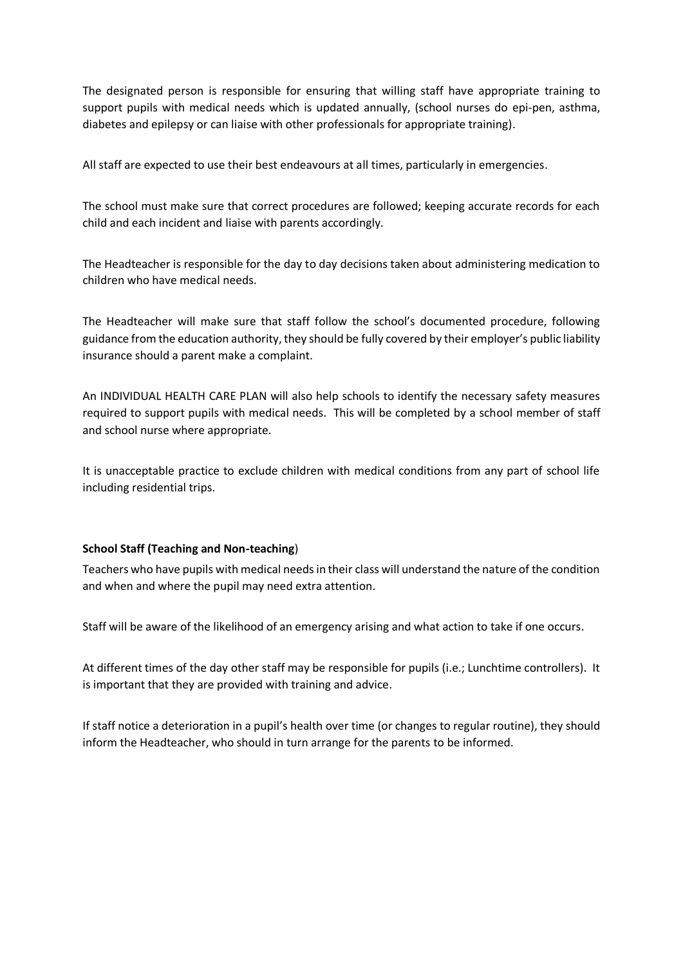The designated person is responsible for ensuring that willing staff have appropriate training to support pupils with medical needs which is updated annually, (school nurses do epi-pen, asthma, diabetes and epilepsy or can liaise with other professionals for appropriate training).

All staff are expected to use their best endeavours at all times, particularly in emergencies.

The school must make sure that correct procedures are followed; keeping accurate records for each child and each incident and liaise with parents accordingly.

The Headteacher is responsible for the day to day decisions taken about administering medication to children who have medical needs.

The Headteacher will make sure that staff follow the school's documented procedure, following guidance from the education authority, they should be fully covered by their employer's public liability insurance should a parent make a complaint.

An INDIVIDUAL HEALTH CARE PLAN will also help schools to identify the necessary safety measures required to support pupils with medical needs. This will be completed by a school member of staff and school nurse where appropriate.

It is unacceptable practice to exclude children with medical conditions from any part of school life including residential trips.

#### **School Staff (Teaching and Non-teaching**)

Teachers who have pupils with medical needs in their class will understand the nature of the condition and when and where the pupil may need extra attention.

Staff will be aware of the likelihood of an emergency arising and what action to take if one occurs.

At different times of the day other staff may be responsible for pupils (i.e.; Lunchtime controllers). It is important that they are provided with training and advice.

If staff notice a deterioration in a pupil's health over time (or changes to regular routine), they should inform the Headteacher, who should in turn arrange for the parents to be informed.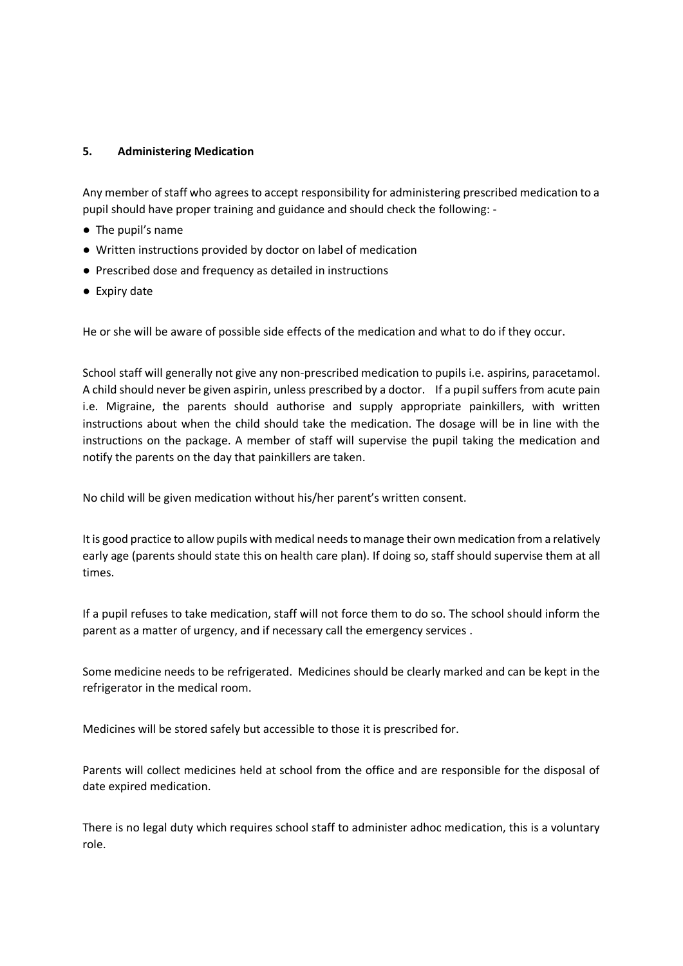#### **5. Administering Medication**

Any member of staff who agrees to accept responsibility for administering prescribed medication to a pupil should have proper training and guidance and should check the following: -

- The pupil's name
- Written instructions provided by doctor on label of medication
- Prescribed dose and frequency as detailed in instructions
- Expiry date

He or she will be aware of possible side effects of the medication and what to do if they occur.

School staff will generally not give any non-prescribed medication to pupils i.e. aspirins, paracetamol. A child should never be given aspirin, unless prescribed by a doctor. If a pupil suffers from acute pain i.e. Migraine, the parents should authorise and supply appropriate painkillers, with written instructions about when the child should take the medication. The dosage will be in line with the instructions on the package. A member of staff will supervise the pupil taking the medication and notify the parents on the day that painkillers are taken.

No child will be given medication without his/her parent's written consent.

It is good practice to allow pupils with medical needs to manage their own medication from a relatively early age (parents should state this on health care plan). If doing so, staff should supervise them at all times.

If a pupil refuses to take medication, staff will not force them to do so. The school should inform the parent as a matter of urgency, and if necessary call the emergency services .

Some medicine needs to be refrigerated. Medicines should be clearly marked and can be kept in the refrigerator in the medical room.

Medicines will be stored safely but accessible to those it is prescribed for.

Parents will collect medicines held at school from the office and are responsible for the disposal of date expired medication.

There is no legal duty which requires school staff to administer adhoc medication, this is a voluntary role.